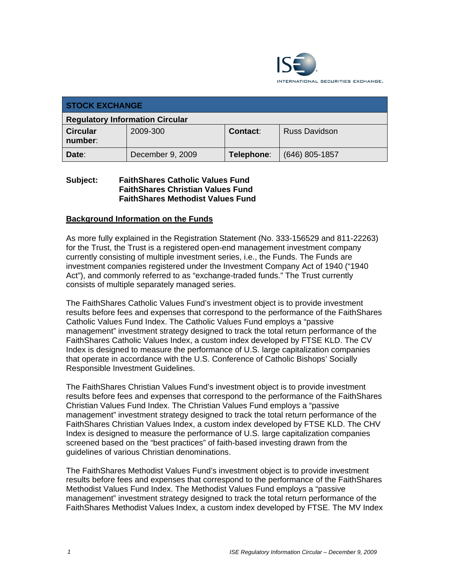

| <b>STOCK EXCHANGE</b>                  |                  |            |                      |  |
|----------------------------------------|------------------|------------|----------------------|--|
| <b>Regulatory Information Circular</b> |                  |            |                      |  |
| <b>Circular</b><br>number:             | 2009-300         | Contact:   | <b>Russ Davidson</b> |  |
| Date:                                  | December 9, 2009 | Telephone: | $(646)$ 805-1857     |  |

### **Subject: FaithShares Catholic Values Fund FaithShares Christian Values Fund FaithShares Methodist Values Fund**

#### **Background Information on the Funds**

As more fully explained in the Registration Statement (No. 333-156529 and 811-22263) for the Trust, the Trust is a registered open-end management investment company currently consisting of multiple investment series, i.e., the Funds. The Funds are investment companies registered under the Investment Company Act of 1940 ("1940 Act"), and commonly referred to as "exchange-traded funds." The Trust currently consists of multiple separately managed series.

The FaithShares Catholic Values Fund's investment object is to provide investment results before fees and expenses that correspond to the performance of the FaithShares Catholic Values Fund Index. The Catholic Values Fund employs a "passive management" investment strategy designed to track the total return performance of the FaithShares Catholic Values Index, a custom index developed by FTSE KLD. The CV Index is designed to measure the performance of U.S. large capitalization companies that operate in accordance with the U.S. Conference of Catholic Bishops' Socially Responsible Investment Guidelines.

The FaithShares Christian Values Fund's investment object is to provide investment results before fees and expenses that correspond to the performance of the FaithShares Christian Values Fund Index. The Christian Values Fund employs a "passive management" investment strategy designed to track the total return performance of the FaithShares Christian Values Index, a custom index developed by FTSE KLD. The CHV Index is designed to measure the performance of U.S. large capitalization companies screened based on the "best practices" of faith-based investing drawn from the guidelines of various Christian denominations.

The FaithShares Methodist Values Fund's investment object is to provide investment results before fees and expenses that correspond to the performance of the FaithShares Methodist Values Fund Index. The Methodist Values Fund employs a "passive management" investment strategy designed to track the total return performance of the FaithShares Methodist Values Index, a custom index developed by FTSE. The MV Index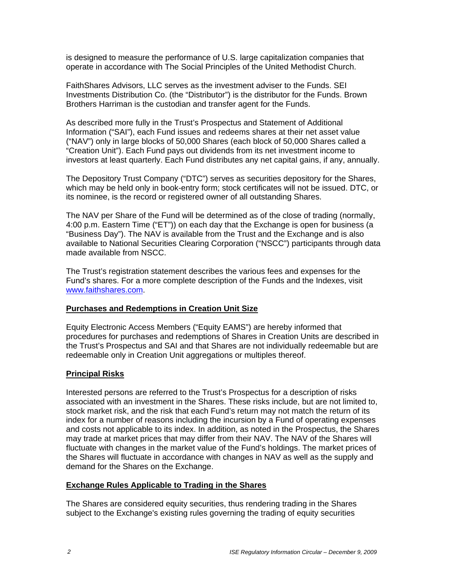is designed to measure the performance of U.S. large capitalization companies that operate in accordance with The Social Principles of the United Methodist Church.

FaithShares Advisors, LLC serves as the investment adviser to the Funds. SEI Investments Distribution Co. (the "Distributor") is the distributor for the Funds. Brown Brothers Harriman is the custodian and transfer agent for the Funds.

As described more fully in the Trust's Prospectus and Statement of Additional Information ("SAI"), each Fund issues and redeems shares at their net asset value ("NAV") only in large blocks of 50,000 Shares (each block of 50,000 Shares called a "Creation Unit"). Each Fund pays out dividends from its net investment income to investors at least quarterly. Each Fund distributes any net capital gains, if any, annually.

The Depository Trust Company ("DTC") serves as securities depository for the Shares, which may be held only in book-entry form; stock certificates will not be issued. DTC, or its nominee, is the record or registered owner of all outstanding Shares.

The NAV per Share of the Fund will be determined as of the close of trading (normally, 4:00 p.m. Eastern Time ("ET")) on each day that the Exchange is open for business (a "Business Day"). The NAV is available from the Trust and the Exchange and is also available to National Securities Clearing Corporation ("NSCC") participants through data made available from NSCC.

The Trust's registration statement describes the various fees and expenses for the Fund's shares. For a more complete description of the Funds and the Indexes, visit www.faithshares.com.

### **Purchases and Redemptions in Creation Unit Size**

Equity Electronic Access Members ("Equity EAMS") are hereby informed that procedures for purchases and redemptions of Shares in Creation Units are described in the Trust's Prospectus and SAI and that Shares are not individually redeemable but are redeemable only in Creation Unit aggregations or multiples thereof.

### **Principal Risks**

Interested persons are referred to the Trust's Prospectus for a description of risks associated with an investment in the Shares. These risks include, but are not limited to, stock market risk, and the risk that each Fund's return may not match the return of its index for a number of reasons including the incursion by a Fund of operating expenses and costs not applicable to its index. In addition, as noted in the Prospectus, the Shares may trade at market prices that may differ from their NAV. The NAV of the Shares will fluctuate with changes in the market value of the Fund's holdings. The market prices of the Shares will fluctuate in accordance with changes in NAV as well as the supply and demand for the Shares on the Exchange.

#### **Exchange Rules Applicable to Trading in the Shares**

The Shares are considered equity securities, thus rendering trading in the Shares subject to the Exchange's existing rules governing the trading of equity securities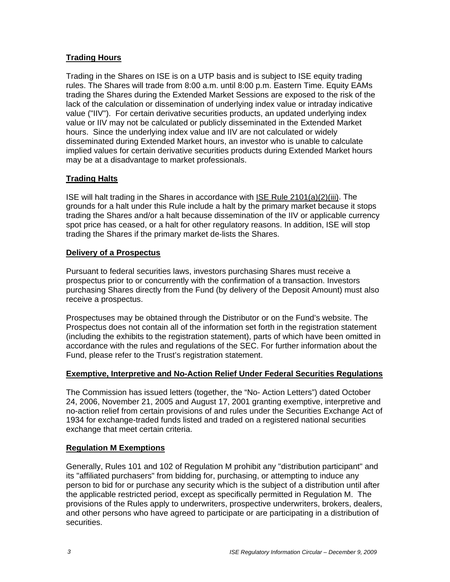# **Trading Hours**

Trading in the Shares on ISE is on a UTP basis and is subject to ISE equity trading rules. The Shares will trade from 8:00 a.m. until 8:00 p.m. Eastern Time. Equity EAMs trading the Shares during the Extended Market Sessions are exposed to the risk of the lack of the calculation or dissemination of underlying index value or intraday indicative value ("IIV"). For certain derivative securities products, an updated underlying index value or IIV may not be calculated or publicly disseminated in the Extended Market hours. Since the underlying index value and IIV are not calculated or widely disseminated during Extended Market hours, an investor who is unable to calculate implied values for certain derivative securities products during Extended Market hours may be at a disadvantage to market professionals.

## **Trading Halts**

ISE will halt trading in the Shares in accordance with ISE Rule 2101(a)(2)(iii). The grounds for a halt under this Rule include a halt by the primary market because it stops trading the Shares and/or a halt because dissemination of the IIV or applicable currency spot price has ceased, or a halt for other regulatory reasons. In addition, ISE will stop trading the Shares if the primary market de-lists the Shares.

### **Delivery of a Prospectus**

Pursuant to federal securities laws, investors purchasing Shares must receive a prospectus prior to or concurrently with the confirmation of a transaction. Investors purchasing Shares directly from the Fund (by delivery of the Deposit Amount) must also receive a prospectus.

Prospectuses may be obtained through the Distributor or on the Fund's website. The Prospectus does not contain all of the information set forth in the registration statement (including the exhibits to the registration statement), parts of which have been omitted in accordance with the rules and regulations of the SEC. For further information about the Fund, please refer to the Trust's registration statement.

### **Exemptive, Interpretive and No-Action Relief Under Federal Securities Regulations**

The Commission has issued letters (together, the "No- Action Letters") dated October 24, 2006, November 21, 2005 and August 17, 2001 granting exemptive, interpretive and no-action relief from certain provisions of and rules under the Securities Exchange Act of 1934 for exchange-traded funds listed and traded on a registered national securities exchange that meet certain criteria.

### **Regulation M Exemptions**

Generally, Rules 101 and 102 of Regulation M prohibit any "distribution participant" and its "affiliated purchasers" from bidding for, purchasing, or attempting to induce any person to bid for or purchase any security which is the subject of a distribution until after the applicable restricted period, except as specifically permitted in Regulation M. The provisions of the Rules apply to underwriters, prospective underwriters, brokers, dealers, and other persons who have agreed to participate or are participating in a distribution of securities.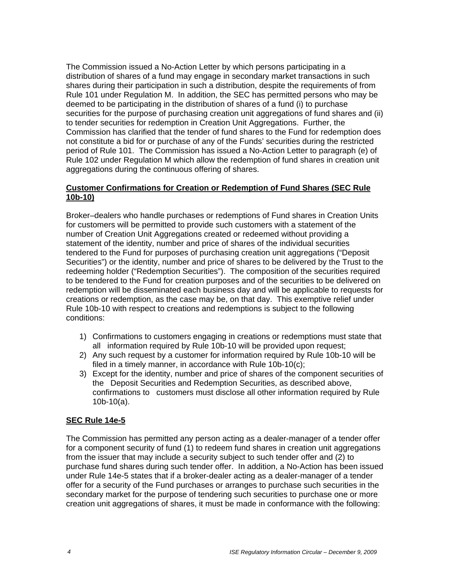The Commission issued a No-Action Letter by which persons participating in a distribution of shares of a fund may engage in secondary market transactions in such shares during their participation in such a distribution, despite the requirements of from Rule 101 under Regulation M. In addition, the SEC has permitted persons who may be deemed to be participating in the distribution of shares of a fund (i) to purchase securities for the purpose of purchasing creation unit aggregations of fund shares and (ii) to tender securities for redemption in Creation Unit Aggregations. Further, the Commission has clarified that the tender of fund shares to the Fund for redemption does not constitute a bid for or purchase of any of the Funds' securities during the restricted period of Rule 101. The Commission has issued a No-Action Letter to paragraph (e) of Rule 102 under Regulation M which allow the redemption of fund shares in creation unit aggregations during the continuous offering of shares.

## **Customer Confirmations for Creation or Redemption of Fund Shares (SEC Rule 10b-10)**

Broker–dealers who handle purchases or redemptions of Fund shares in Creation Units for customers will be permitted to provide such customers with a statement of the number of Creation Unit Aggregations created or redeemed without providing a statement of the identity, number and price of shares of the individual securities tendered to the Fund for purposes of purchasing creation unit aggregations ("Deposit Securities") or the identity, number and price of shares to be delivered by the Trust to the redeeming holder ("Redemption Securities"). The composition of the securities required to be tendered to the Fund for creation purposes and of the securities to be delivered on redemption will be disseminated each business day and will be applicable to requests for creations or redemption, as the case may be, on that day. This exemptive relief under Rule 10b-10 with respect to creations and redemptions is subject to the following conditions:

- 1) Confirmations to customers engaging in creations or redemptions must state that all information required by Rule 10b-10 will be provided upon request;
- 2) Any such request by a customer for information required by Rule 10b-10 will be filed in a timely manner, in accordance with Rule 10b-10(c);
- 3) Except for the identity, number and price of shares of the component securities of the Deposit Securities and Redemption Securities, as described above, confirmations to customers must disclose all other information required by Rule 10b-10(a).

# **SEC Rule 14e-5**

The Commission has permitted any person acting as a dealer-manager of a tender offer for a component security of fund (1) to redeem fund shares in creation unit aggregations from the issuer that may include a security subject to such tender offer and (2) to purchase fund shares during such tender offer. In addition, a No-Action has been issued under Rule 14e-5 states that if a broker-dealer acting as a dealer-manager of a tender offer for a security of the Fund purchases or arranges to purchase such securities in the secondary market for the purpose of tendering such securities to purchase one or more creation unit aggregations of shares, it must be made in conformance with the following: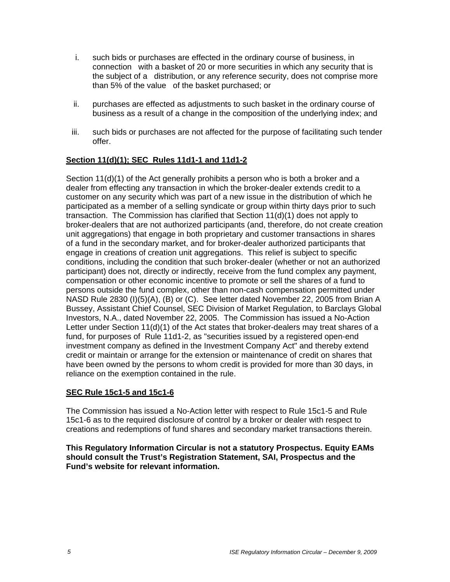- i. such bids or purchases are effected in the ordinary course of business, in connection with a basket of 20 or more securities in which any security that is the subject of a distribution, or any reference security, does not comprise more than 5% of the value of the basket purchased; or
- ii. purchases are effected as adjustments to such basket in the ordinary course of business as a result of a change in the composition of the underlying index; and
- iii. such bids or purchases are not affected for the purpose of facilitating such tender offer.

# **Section 11(d)(1); SEC Rules 11d1-1 and 11d1-2**

Section 11(d)(1) of the Act generally prohibits a person who is both a broker and a dealer from effecting any transaction in which the broker-dealer extends credit to a customer on any security which was part of a new issue in the distribution of which he participated as a member of a selling syndicate or group within thirty days prior to such transaction. The Commission has clarified that Section 11(d)(1) does not apply to broker-dealers that are not authorized participants (and, therefore, do not create creation unit aggregations) that engage in both proprietary and customer transactions in shares of a fund in the secondary market, and for broker-dealer authorized participants that engage in creations of creation unit aggregations. This relief is subject to specific conditions, including the condition that such broker-dealer (whether or not an authorized participant) does not, directly or indirectly, receive from the fund complex any payment, compensation or other economic incentive to promote or sell the shares of a fund to persons outside the fund complex, other than non-cash compensation permitted under NASD Rule 2830 (I)(5)(A), (B) or (C). See letter dated November 22, 2005 from Brian A Bussey, Assistant Chief Counsel, SEC Division of Market Regulation, to Barclays Global Investors, N.A., dated November 22, 2005. The Commission has issued a No-Action Letter under Section 11(d)(1) of the Act states that broker-dealers may treat shares of a fund, for purposes of Rule 11d1-2, as "securities issued by a registered open-end investment company as defined in the Investment Company Act" and thereby extend credit or maintain or arrange for the extension or maintenance of credit on shares that have been owned by the persons to whom credit is provided for more than 30 days, in reliance on the exemption contained in the rule.

### **SEC Rule 15c1-5 and 15c1-6**

The Commission has issued a No-Action letter with respect to Rule 15c1-5 and Rule 15c1-6 as to the required disclosure of control by a broker or dealer with respect to creations and redemptions of fund shares and secondary market transactions therein.

**This Regulatory Information Circular is not a statutory Prospectus. Equity EAMs should consult the Trust's Registration Statement, SAI, Prospectus and the Fund's website for relevant information.**